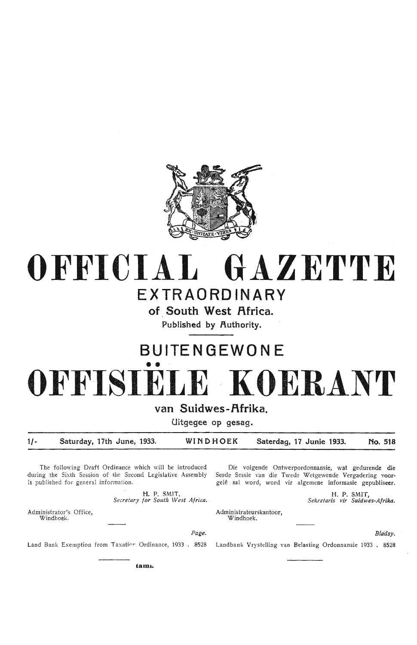

## **OFFICIAL GAZETTE EXTRAORDINARY**

**of South West Africa. Published by Authority.** 

## **BUITE N GEWO NE**  •• **OFFISIELE · KOERANT**

**van Suidwes-f\frika.** 

**Uitgegee op gesag.** 

**1/- Saturday, 17th June, 1933. WINDHOEK Saterdag, 17 Junie 1933. No. 518** 

Page.

The following Draft Ordinance which will be introduced during the Sixth Session of the Second Legislative Assembly is published for general information.

> **H.** P. SMIT, *Secretary for South West Africa.*

Die voigende Ontwerpordonnansie, wat gedurende **die**  Sesde Sessie van die Twede Wetgewende Vergadering voor• gelê sal word, word vir algemene informasie gepubliseer.

> H. P. SMIT; *Sekretaris vir Suidwes-Af rika.*

Administrateurskantoor, Windhoek.

*Blddsy.* 

Land Bank Exemption from Taxation Ordinance, 1933 . 8528

Administrator's Office, Windhoek.

Landbank Vrystelling van Belasting Ordonnansie 1933 . 8528

**tamb-**